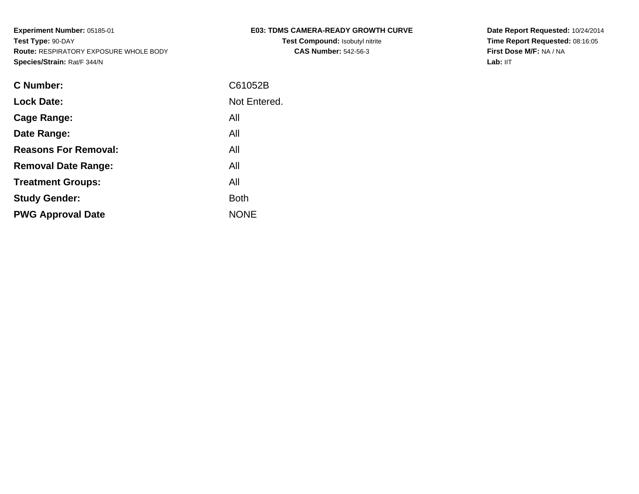|  |                                       | <b>E03: TDMS CAMERA-READY GROWTH CURVE</b> |  |
|--|---------------------------------------|--------------------------------------------|--|
|  | Tool Commonwealth is the first state. |                                            |  |

**Test Compound:** Isobutyl nitrite**CAS Number:** 542-56-3

**Date Report Requested:** 10/24/2014 **Time Report Requested:** 08:16:05**First Dose M/F:** NA / NA**Lab:** IIT

| C Number:                   | C61052B      |
|-----------------------------|--------------|
| <b>Lock Date:</b>           | Not Entered. |
| Cage Range:                 | All          |
| Date Range:                 | All          |
| <b>Reasons For Removal:</b> | All          |
| <b>Removal Date Range:</b>  | All          |
| <b>Treatment Groups:</b>    | All          |
| <b>Study Gender:</b>        | <b>Both</b>  |
| <b>PWG Approval Date</b>    | <b>NONE</b>  |
|                             |              |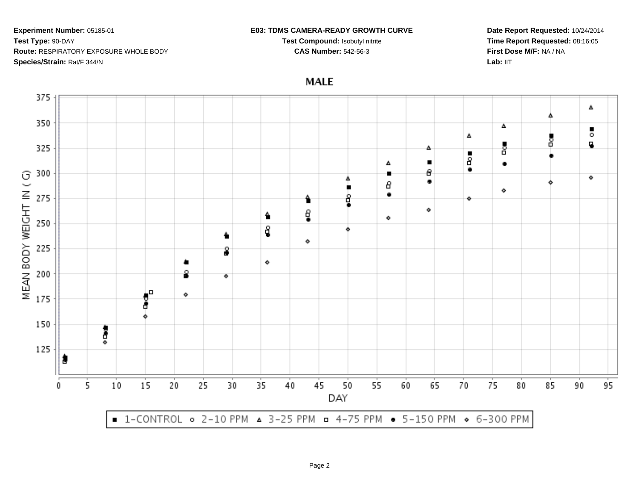#### **E03: TDMS CAMERA-READY GROWTH CURVE**

**Test Compound:** Isobutyl nitrite**CAS Number:** 542-56-3

**Date Report Requested:** 10/24/2014**Time Report Requested:** 08:16:05**First Dose M/F:** NA / NALab: IIT

**MALE** 

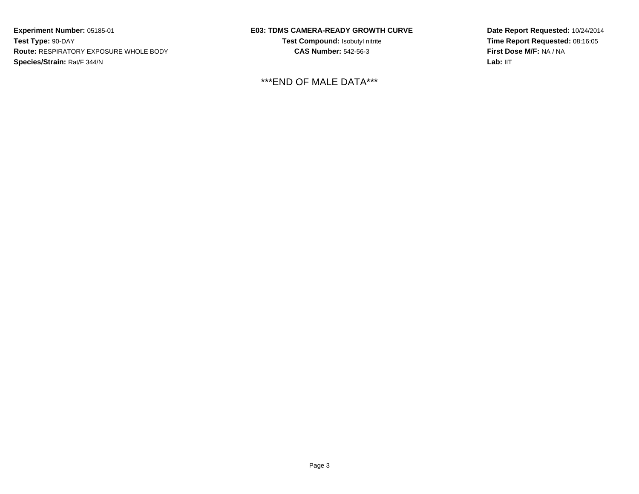## **E03: TDMS CAMERA-READY GROWTH CURVE**

**Test Compound:** Isobutyl nitrite**CAS Number:** 542-56-3

\*\*\*END OF MALE DATA\*\*\*

**Date Report Requested:** 10/24/2014 **Time Report Requested:** 08:16:05**First Dose M/F:** NA / NA**Lab:** IIT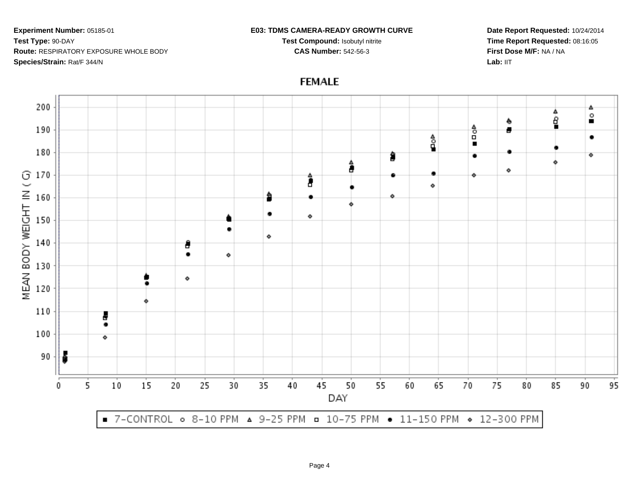#### **E03: TDMS CAMERA-READY GROWTH CURVE**

**Test Compound:** Isobutyl nitrite**CAS Number:** 542-56-3

**Date Report Requested:** 10/24/2014**Time Report Requested:** 08:16:05**First Dose M/F:** NA / NALab: IIT



# **FEMALE**